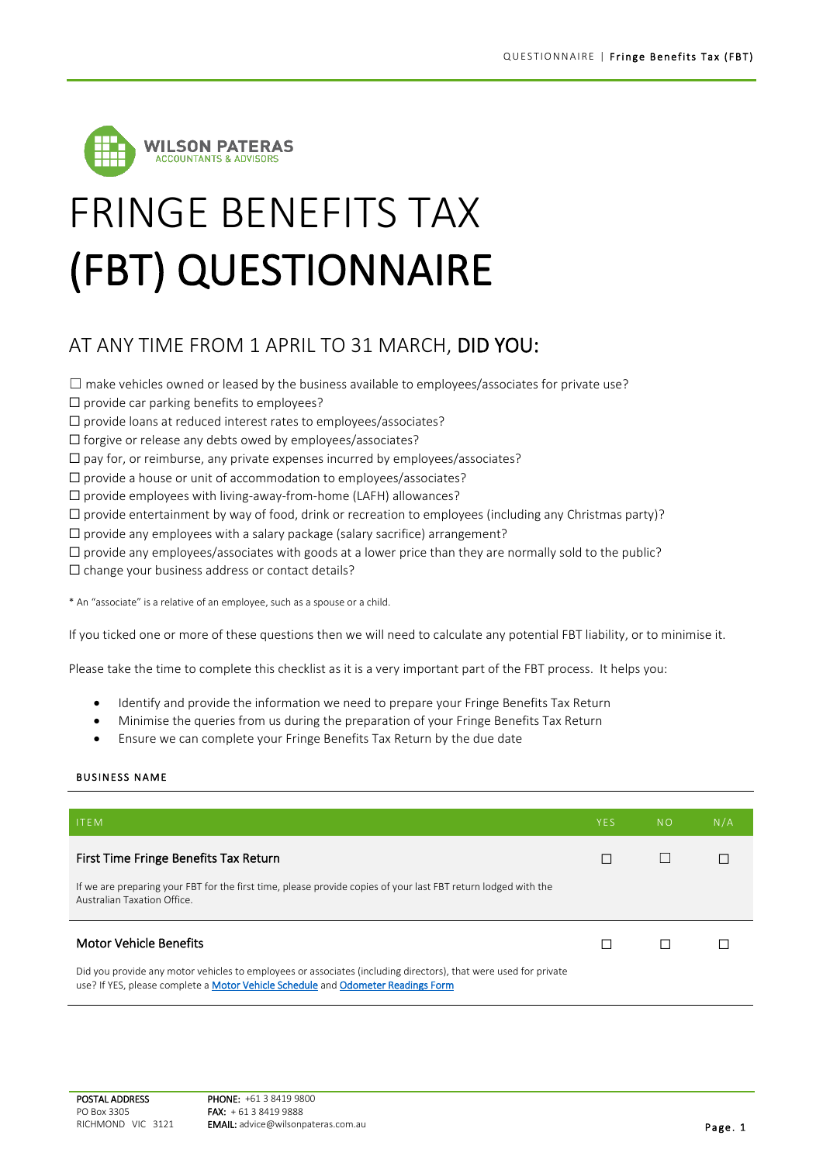

## FRINGE BENEFITS TAX (FBT) QUESTIONNAIRE

## AT ANY TIME FROM 1 APRIL TO 31 MARCH, DID YOU:

 $\square$  make vehicles owned or leased by the business available to employees/associates for private use?

- ☐ provide car parking benefits to employees?
- ☐ provide loans at reduced interest rates to employees/associates?
- ☐ forgive or release any debts owed by employees/associates?
- ☐ pay for, or reimburse, any private expenses incurred by employees/associates?
- ☐ provide a house or unit of accommodation to employees/associates?
- ☐ provide employees with living-away-from-home (LAFH) allowances?
- $\Box$  provide entertainment by way of food, drink or recreation to employees (including any Christmas party)?
- ☐ provide any employees with a salary package (salary sacrifice) arrangement?
- $\Box$  provide any employees/associates with goods at a lower price than they are normally sold to the public?
- ☐ change your business address or contact details?

\* An "associate" is a relative of an employee, such as a spouse or a child.

If you ticked one or more of these questions then we will need to calculate any potential FBT liability, or to minimise it.

Please take the time to complete this checklist as it is a very important part of the FBT process. It helps you:

- Identify and provide the information we need to prepare your Fringe Benefits Tax Return
- Minimise the queries from us during the preparation of your Fringe Benefits Tax Return
- Ensure we can complete your Fringe Benefits Tax Return by the due date

## **BUSINESS NAME**

| <b>ITEM</b>                                                                                                                                                                                         | <b>YES</b> | <b>NO</b> | N/A |
|-----------------------------------------------------------------------------------------------------------------------------------------------------------------------------------------------------|------------|-----------|-----|
| First Time Fringe Benefits Tax Return                                                                                                                                                               |            |           |     |
| If we are preparing your FBT for the first time, please provide copies of your last FBT return lodged with the<br>Australian Taxation Office.                                                       |            |           |     |
| <b>Motor Vehicle Benefits</b>                                                                                                                                                                       |            |           |     |
| Did you provide any motor vehicles to employees or associates (including directors), that were used for private<br>use? If YES, please complete a Motor Vehicle Schedule and Odometer Readings Form |            |           |     |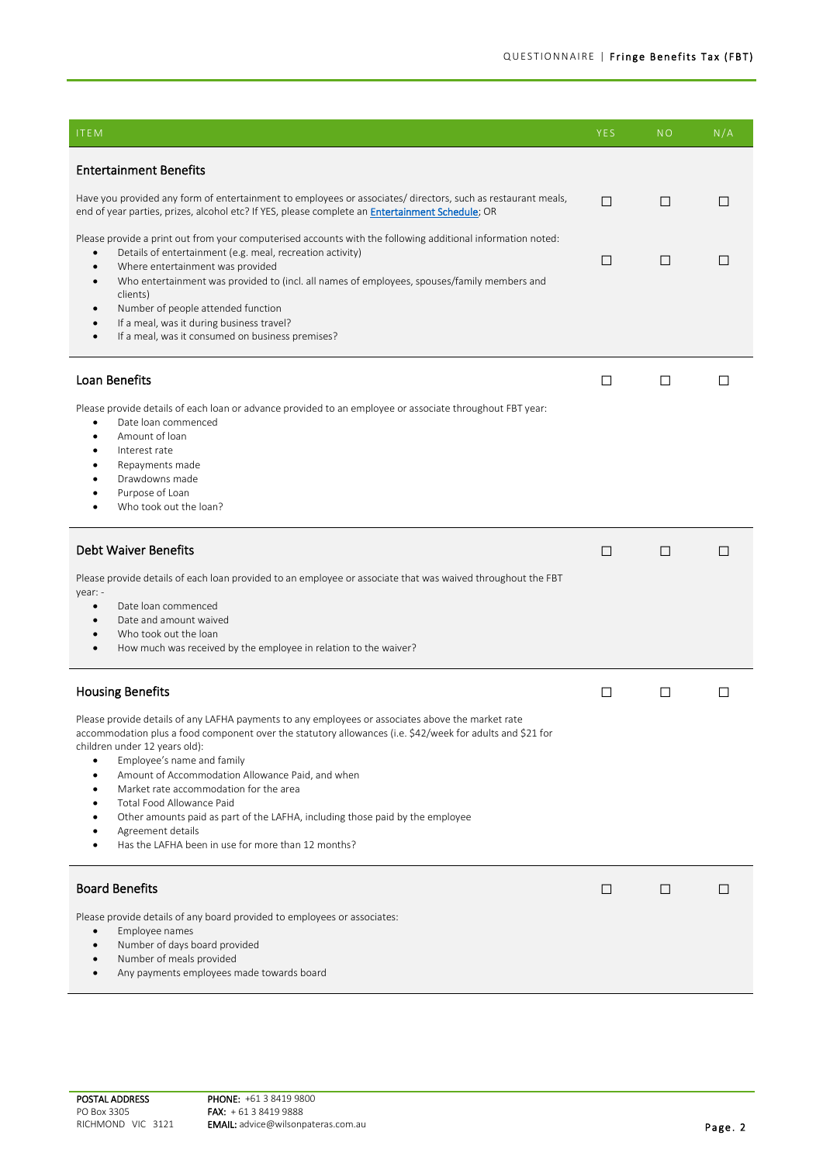| <b>ITEM</b>                                                                                                                                                                                                                                                                                                                                                                                                                                                                                                                                                          | <b>YES</b> | N <sub>O</sub> | N/A |
|----------------------------------------------------------------------------------------------------------------------------------------------------------------------------------------------------------------------------------------------------------------------------------------------------------------------------------------------------------------------------------------------------------------------------------------------------------------------------------------------------------------------------------------------------------------------|------------|----------------|-----|
| <b>Entertainment Benefits</b>                                                                                                                                                                                                                                                                                                                                                                                                                                                                                                                                        |            |                |     |
| Have you provided any form of entertainment to employees or associates/ directors, such as restaurant meals,<br>end of year parties, prizes, alcohol etc? If YES, please complete an Entertainment Schedule; OR                                                                                                                                                                                                                                                                                                                                                      | П          | □              | П   |
| Please provide a print out from your computerised accounts with the following additional information noted:<br>Details of entertainment (e.g. meal, recreation activity)<br>Where entertainment was provided<br>Who entertainment was provided to (incl. all names of employees, spouses/family members and<br>$\bullet$<br>clients)<br>Number of people attended function<br>If a meal, was it during business travel?<br>If a meal, was it consumed on business premises?                                                                                          | $\Box$     | ⊔              | ⊔   |
| Loan Benefits                                                                                                                                                                                                                                                                                                                                                                                                                                                                                                                                                        | □          | □              | П   |
| Please provide details of each loan or advance provided to an employee or associate throughout FBT year:<br>Date loan commenced<br>$\bullet$<br>Amount of loan<br>Interest rate<br>Repayments made<br>Drawdowns made<br>Purpose of Loan<br>Who took out the loan?                                                                                                                                                                                                                                                                                                    |            |                |     |
| <b>Debt Waiver Benefits</b>                                                                                                                                                                                                                                                                                                                                                                                                                                                                                                                                          | □          | $\Box$         | П   |
| Please provide details of each loan provided to an employee or associate that was waived throughout the FBT<br>year: -<br>Date loan commenced<br>Date and amount waived<br>Who took out the loan<br>How much was received by the employee in relation to the waiver?<br>$\bullet$                                                                                                                                                                                                                                                                                    |            |                |     |
| <b>Housing Benefits</b>                                                                                                                                                                                                                                                                                                                                                                                                                                                                                                                                              | □          | □              | □   |
| Please provide details of any LAFHA payments to any employees or associates above the market rate<br>accommodation plus a food component over the statutory allowances (i.e. \$42/week for adults and \$21 for<br>children under 12 years old):<br>Employee's name and family<br>Amount of Accommodation Allowance Paid, and when<br>Market rate accommodation for the area<br>Total Food Allowance Paid<br>Other amounts paid as part of the LAFHA, including those paid by the employee<br>Agreement details<br>Has the LAFHA been in use for more than 12 months? |            |                |     |
| <b>Board Benefits</b>                                                                                                                                                                                                                                                                                                                                                                                                                                                                                                                                                | □          | □              | П   |
| Please provide details of any board provided to employees or associates:<br>Employee names<br>Number of days board provided<br>Number of meals provided<br>Any payments employees made towards board                                                                                                                                                                                                                                                                                                                                                                 |            |                |     |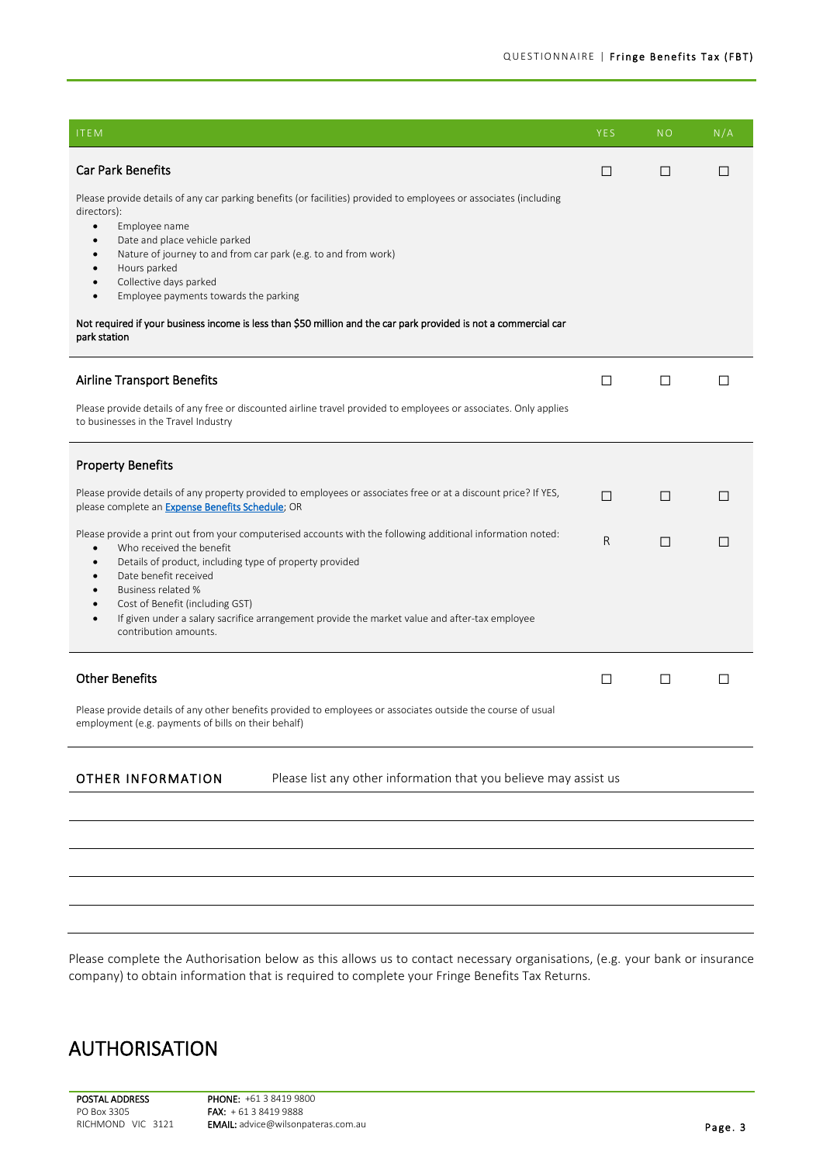| <b>ITEM</b>                                                                                                                                                                 | YES | <b>NO</b> | N/A     |
|-----------------------------------------------------------------------------------------------------------------------------------------------------------------------------|-----|-----------|---------|
| <b>Car Park Benefits</b>                                                                                                                                                    | □   | □         | □       |
| Please provide details of any car parking benefits (or facilities) provided to employees or associates (including<br>directors):                                            |     |           |         |
| Employee name<br>$\bullet$<br>Date and place vehicle parked                                                                                                                 |     |           |         |
| Nature of journey to and from car park (e.g. to and from work)<br>Hours parked                                                                                              |     |           |         |
| Collective days parked<br>Employee payments towards the parking<br>$\bullet$                                                                                                |     |           |         |
| Not required if your business income is less than \$50 million and the car park provided is not a commercial car<br>park station                                            |     |           |         |
| <b>Airline Transport Benefits</b>                                                                                                                                           | □   | □         | П       |
| Please provide details of any free or discounted airline travel provided to employees or associates. Only applies<br>to businesses in the Travel Industry                   |     |           |         |
| <b>Property Benefits</b>                                                                                                                                                    |     |           |         |
| Please provide details of any property provided to employees or associates free or at a discount price? If YES,<br>please complete an <b>Expense Benefits Schedule</b> ; OR | П   | □         | П       |
| Please provide a print out from your computerised accounts with the following additional information noted:<br>Who received the benefit<br>$\bullet$                        | R.  | П         | П       |
| Details of product, including type of property provided<br>Date benefit received                                                                                            |     |           |         |
| Business related %<br>Cost of Benefit (including GST)                                                                                                                       |     |           |         |
| If given under a salary sacrifice arrangement provide the market value and after-tax employee<br>$\bullet$<br>contribution amounts.                                         |     |           |         |
| <b>Other Benefits</b>                                                                                                                                                       | □   | □         | $\perp$ |
| Please provide details of any other benefits provided to employees or associates outside the course of usual<br>employment (e.g. payments of bills on their behalf)         |     |           |         |
| <b>OTHER INFORMATION</b><br>Please list any other information that you believe may assist us                                                                                |     |           |         |
|                                                                                                                                                                             |     |           |         |
|                                                                                                                                                                             |     |           |         |
|                                                                                                                                                                             |     |           |         |
|                                                                                                                                                                             |     |           |         |

Please complete the Authorisation below as this allows us to contact necessary organisations, (e.g. your bank or insurance company) to obtain information that is required to complete your Fringe Benefits Tax Returns.

## AUTHORISATION

POSTAL ADDRESS PO Box 3305 RICHMOND VIC 3121